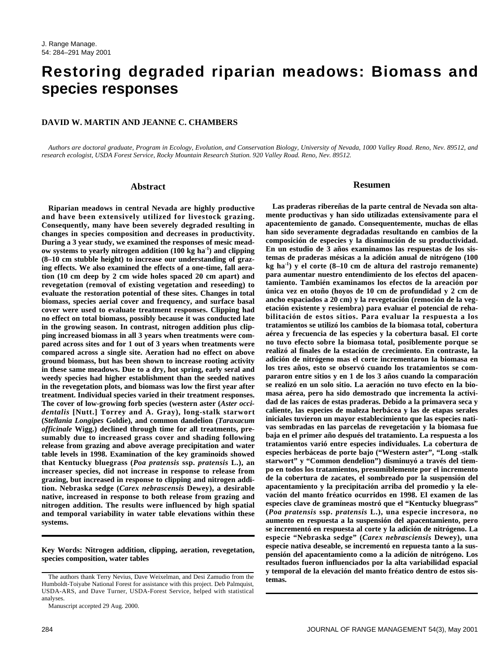# **Restoring degraded riparian meadows: Biomass and species responses**

# **DAVID W. MARTIN AND JEANNE C. CHAMBERS**

*Authors are doctoral graduate, Program in Ecology, Evolution, and Conservation Biology, University of Nevada, 1000 Valley Road. Reno, Nev. 89512, and research ecologist, USDA Forest Service, Rocky Mountain Research Station. 920 Valley Road. Reno, Nev. 89512.*

## **Abstract**

**Riparian meadows in central Nevada are highly productive and have been extensively utilized for livestock grazing. Consequently, many have been severely degraded resulting in changes in species composition and decreases in productivity. During a 3 year study, we examined the responses of mesic meadow systems to yearly nitrogen addition (100 kg ha-1) and clipping (8–10 cm stubble height) to increase our understanding of grazing effects. We also examined the effects of a one-time, fall aeration (10 cm deep by 2 cm wide holes spaced 20 cm apart) and revegetation (removal of existing vegetation and reseeding) to evaluate the restoration potential of these sites. Changes in total biomass, species aerial cover and frequency, and surface basal cover were used to evaluate treatment responses. Clipping had no effect on total biomass, possibly because it was conducted late in the growing season. In contrast, nitrogen addition plus clipping increased biomass in all 3 years when treatments were compared across sites and for 1 out of 3 years when treatments were compared across a single site. Aeration had no effect on above ground biomass, but has been shown to increase rooting activity in these same meadows. Due to a dry, hot spring, early seral and weedy species had higher establishment than the seeded natives in the revegetation plots, and biomass was low the first year after treatment. Individual species varied in their treatment responses. The cover of low-growing forb species (western aster (***Aster occidentalis* **[Nutt.] Torrey and A. Gray), long-stalk starwort (***Stellania Longipes* **Goldie), and common dandelion (***Taraxacum officinale* **Wigg.) declined through time for all treatments, presumably due to increased grass cover and shading following release from grazing and above average precipitation and water table levels in 1998. Examination of the key graminoids showed that Kentucky bluegrass (***Poa pratensis* **ssp.** *pratensis* **L.), an increaser species, did not increase in response to release from grazing, but increased in response to clipping and nitrogen addition. Nebraska sedge (***Carex nebrascensis* **Dewey), a desirable native, increased in response to both release from grazing and nitrogen addition. The results were influenced by high spatial and temporal variability in water table elevations within these systems.** 

**Key Words: Nitrogen addition, clipping, aeration, revegetation, species composition, water tables**

#### **Resumen**

**Las praderas ribereñas de la parte central de Nevada son altamente productivas y han sido utilizadas extensivamente para el apacentemiento de ganado. Consequentemente, muchas de ellas han sido severamente degradadas resultando en cambios de la composición de especies y la disminución de su productividad. En un estudio de 3 años examinamos las respuestas de los sistemas de praderas mésicas a la adición anual de nitrógeno (100 kg ha-1) y el corte (8–10 cm de altura del rastrojo remanente) para aumentar nuestro entendimiento de los efectos del apacentamiento. También examinamos los efectos de la areación por única vez en otoño (hoyos de 10 cm de profundidad y 2 cm de ancho espaciados a 20 cm) y la revegetación (remoción de la vegetación existente y resiembra) para evaluar el potencial de rehabilitación de estos sitios. Para evaluar la respuesta a los tratamientos se utilizó los cambios de la biomasa total, cobertura aérea y frecuencia de las especies y la cobertura basal. El corte no tuvo efecto sobre la biomasa total, posiblemente porque se realizó al finales de la estación de crecimiento. En contraste, la adición de nitrógeno mas el corte incrementaron la biomasa en los tres años, esto se observó cuando los tratamientos se compararon entre sitios y en 1 de los 3 años cuando la comparación se realizó en un solo sitio. La aeración no tuvo efecto en la biomasa aérea, pero ha sido demostrado que incrementa la actividad de las raíces de estas praderas. Debido a la primavera seca y caliente, las especies de maleza herbácea y las de etapas serales iniciales tuvieron un mayor establecimiento que las especies nativas sembradas en las parcelas de revegetación y la biomasa fue baja en el primer año después del tratamiento. La respuesta a los tratamientos varió entre especies individuales. La cobertura de especies herbáceas de porte bajo ("Western aster", "Long -stalk starwort" y "Common dendelion") disminuyó a través del tiempo en todos los tratamientos, presumiblemente por el incremento de la cobertura de zacates, el sombreado por la suspensión del apacentamiento y la precipitación arriba del promedio y la elevación del manto fréatico ocurridos en 1998. El examen de las especies clave de gramíneas mostró que el "Kentucky bluegrass" (***Poa pratensis* **ssp.** *pratensis* **L.), una especie incresora, no aumento en respuesta a la suspensión del apacentamiento, pero se incrementó en respuesta al corte y la adición de nitrógeno. La especie "Nebraska sedge" (***Carex nebrasciensis* **Dewey), una especie nativa deseable, se incrementó en repuesta tanto a la suspensión del apacentamiento como a la adición de nitrógeno. Los resultados fueron influenciados por la alta variabilidad espacial y temporal de la elevación del manto fréatico dentro de estos sistemas.**

The authors thank Terry Nevius, Dave Weixelman, and Desi Zamudio from the Humboldt-Toiyabe National Forest for assistance with this project. Deb Palmquist, USDA-ARS, and Dave Turner, USDA-Forest Service, helped with statistical analyses.

Manuscript accepted 29 Aug. 2000.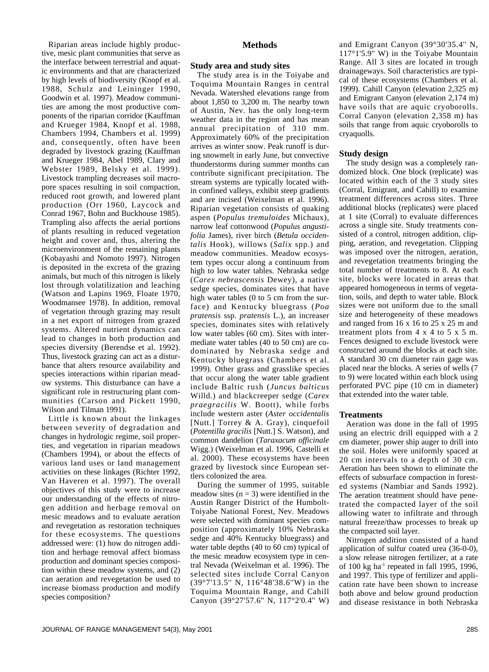Riparian areas include highly productive, mesic plant communities that serve as the interface between terrestrial and aquatic environments and that are characterized by high levels of biodiversity (Knopf et al. 1988, Schulz and Leininger 1990, Goodwin et al. 1997). Meadow communities are among the most productive components of the riparian corridor (Kauffman and Krueger 1984, Knopf et al. 1988, Chambers 1994, Chambers et al. 1999) and, consequently, often have been degraded by livestock grazing (Kauffman and Krueger 1984, Abel 1989, Clary and Webster 1989, Belsky et al. 1999). Livestock trampling decreases soil macropore spaces resulting in soil compaction, reduced root growth, and lowered plant production (Orr 1960, Laycock and Conrad 1967, Bohn and Buckhouse 1985). Trampling also affects the aerial portions of plants resulting in reduced vegetation height and cover and, thus, altering the microenvironment of the remaining plants (Kobayashi and Nomoto 1997). Nitrogen is deposited in the excreta of the grazing animals, but much of this nitrogen is likely lost through volatilization and leaching (Watson and Lapins 1969, Floate 1970, Woodmansee 1978). In addition, removal of vegetation through grazing may result in a net export of nitrogen from grazed systems. Altered nutrient dynamics can lead to changes in both production and species diversity (Berendse et al. 1992). Thus, livestock grazing can act as a disturbance that alters resource availability and species interactions within riparian meadow systems. This disturbance can have a significant role in restructuring plant communities (Carson and Pickett 1990, Wilson and Tilman 1991).

Little is known about the linkages between severity of degradation and changes in hydrologic regime, soil properties, and vegetation in riparian meadows (Chambers 1994), or about the effects of various land uses or land management activities on these linkages (Richter 1992, Van Haveren et al. 1997). The overall objectives of this study were to increase our understanding of the effects of nitrogen addition and herbage removal on mesic meadows and to evaluate aeration and revegetation as restoration techniques for these ecosystems. The questions addressed were: (1) how do nitrogen addition and herbage removal affect biomass production and dominant species composition within these meadow systems, and (2) can aeration and revegetation be used to increase biomass production and modify species composition?

# **Methods**

### **Study area and study sites**

The study area is in the Toiyabe and Toquima Mountain Ranges in central Nevada. Watershed elevations range from about 1,850 to 3,200 m. The nearby town of Austin, Nev. has the only long-term weather data in the region and has mean annual precipitation of 310 mm. Approximately 60% of the precipitation arrives as winter snow. Peak runoff is during snowmelt in early June, but convective thunderstorms during summer months can contribute significant precipitation. The stream systems are typically located within confined valleys, exhibit steep gradients and are incised (Weixelman et al. 1996). Riparian vegetation consists of quaking aspen (*Populus tremuloides* Michaux), narrow leaf cottonwood (*Populus angustifolia* James), river birch (*Betula occidentalis* Hook), willows (*Salix* spp.) and meadow communities. Meadow ecosystem types occur along a continuum from high to low water tables. Nebraska sedge (*Carex nebrascensis* Dewey), a native sedge species, dominates sites that have high water tables (0 to 5 cm from the surface) and Kentucky bluegrass (*Poa pratensis* ssp. *pratensis* L.), an increaser species, dominates sites with relatively low water tables (60 cm). Sites with intermediate water tables (40 to 50 cm) are codominated by Nebraska sedge and Kentucky bluegrass (Chambers et al. 1999). Other grass and grasslike species that occur along the water table gradient include Baltic rush (*Juncus balticus* Willd.) and blackcreeper sedge (*Carex praegracilis* W. Boott), while forbs include western aster (*Aster occidentalis* [Nutt.] Torrey & A. Gray), cinquefoil (*Potentilla gracilis* [Nutt.] S. Watson), and common dandelion (*Taraxacum officinale* Wigg.) (Weixelman et al. 1996, Castelli et al. 2000). These ecosystems have been grazed by livestock since European settlers colonized the area.

During the summer of 1995, suitable meadow sites  $(n = 3)$  were identified in the Austin Ranger District of the Humbolt-Toiyabe National Forest, Nev. Meadows were selected with dominant species composition (approximately 10% Nebraska sedge and 40% Kentucky bluegrass) and water table depths (40 to 60 cm) typical of the mesic meadow ecosystem type in central Nevada (Weixelman et al. 1996). The selected sites include Corral Canyon (39°7'13.5'' N, 116°48'38.6''W) in the Toquima Mountain Range, and Cahill Canyon (39°27'57.6'' N, 117°2'0.4'' W)

and Emigrant Canyon (39°30'35.4'' N, 117°1'5.9'' W) in the Toiyabe Mountain Range. All 3 sites are located in trough drainageways. Soil characteristics are typical of these ecosystems (Chambers et al. 1999). Cahill Canyon (elevation 2,325 m) and Emigrant Canyon (elevation 2,174 m) have soils that are aquic cryoborolls. Corral Canyon (elevation 2,358 m) has soils that range from aquic cryoborolls to cryaquolls.

# **Study design**

The study design was a completely randomized block. One block (replicate) was located within each of the 3 study sites (Corral, Emigrant, and Cahill) to examine treatment differences across sites. Three additional blocks (replicates) were placed at 1 site (Corral) to evaluate differences across a single site. Study treatments consisted of a control, nitrogen addition, clipping, aeration, and revegetation. Clipping was imposed over the nitrogen, aeration, and revegetation treatments bringing the total number of treatments to 8. At each site, blocks were located in areas that appeared homogeneous in terms of vegetation, soils, and depth to water table. Block sizes were not uniform due to the small size and heterogeneity of these meadows and ranged from 16 x 16 to 25 x 25 m and treatment plots from 4 x 4 to 5 x 5 m. Fences designed to exclude livestock were constructed around the blocks at each site. A standard 30 cm diameter rain gage was placed near the blocks. A series of wells (7 to 9) were located within each block using perforated PVC pipe (10 cm in diameter) that extended into the water table.

#### **Treatments**

Aeration was done in the fall of 1995 using an electric drill equipped with a 2 cm diameter, power ship auger to drill into the soil. Holes were uniformly spaced at 20 cm intervals to a depth of 30 cm. Aeration has been shown to eliminate the effects of subsurface compaction in forested systems (Nambiar and Sands 1992). The aeration treatment should have penetrated the compacted layer of the soil allowing water to infiltrate and through natural freeze/thaw processes to break up the compacted soil layer.

Nitrogen addition consisted of a hand application of sulfur coated urea (36-0-0), a slow release nitrogen fertilizer, at a rate of 100 kg ha<sup>-1</sup> repeated in fall 1995, 1996, and 1997. This type of fertilizer and application rate have been shown to increase both above and below ground production and disease resistance in both Nebraska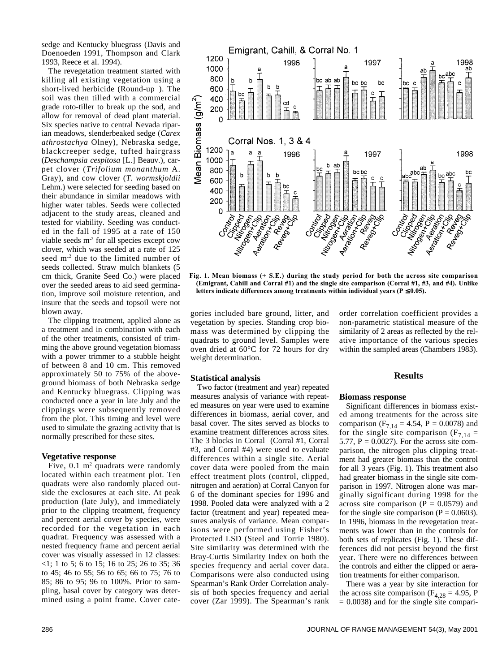sedge and Kentucky bluegrass (Davis and Doenoeden 1991, Thompson and Clark 1993, Reece et al. 1994).

The revegetation treatment started with killing all existing vegetation using a short-lived herbicide (Round-up®). The soil was then tilled with a commercial grade roto-tiller to break up the sod, and allow for removal of dead plant material. Six species native to central Nevada riparian meadows, slenderbeaked sedge (*Carex athrostachya* Olney), Nebraska sedge, blackcreeper sedge, tufted hairgrass (*Deschampsia cespitosa* [L.] Beauv.), carpet clover (*Trifolium monanthum* A. Gray), and cow clover (*T. wormskjoldii* Lehm.) were selected for seeding based on their abundance in similar meadows with higher water tables. Seeds were collected adjacent to the study areas, cleaned and tested for viability. Seeding was conducted in the fall of 1995 at a rate of 150 viable seeds m<sup>-2</sup> for all species except cow clover, which was seeded at a rate of 125 seed m-2 due to the limited number of seeds collected. Straw mulch blankets (5 cm thick, Granite Seed Co.) were placed over the seeded areas to aid seed germination, improve soil moisture retention, and insure that the seeds and topsoil were not blown away.

The clipping treatment, applied alone as a treatment and in combination with each of the other treatments, consisted of trimming the above ground vegetation biomass with a power trimmer to a stubble height of between 8 and 10 cm. This removed approximately 50 to 75% of the aboveground biomass of both Nebraska sedge and Kentucky bluegrass. Clipping was conducted once a year in late July and the clippings were subsequently removed from the plot. This timing and level were used to simulate the grazing activity that is normally prescribed for these sites.

# **Vegetative response**

Five,  $0.1 \text{ m}^2$  quadrats were randomly located within each treatment plot. Ten quadrats were also randomly placed outside the exclosures at each site. At peak production (late July), and immediately prior to the clipping treatment, frequency and percent aerial cover by species, were recorded for the vegetation in each quadrat. Frequency was assessed with a nested frequency frame and percent aerial cover was visually assessed in 12 classes: <1; 1 to 5; 6 to 15; 16 to 25; 26 to 35; 36 to 45; 46 to 55; 56 to 65; 66 to 75; 76 to 85; 86 to 95; 96 to 100%. Prior to sampling, basal cover by category was determined using a point frame. Cover cate-



**Fig. 1. Mean biomass (+ S.E.) during the study period for both the across site comparison (Emigrant, Cahill and Corral #1) and the single site comparison (Corral #1, #3, and #4). Unlike letters indicate differences among treatments within individual years (** $P ≤ 0.05$ **).** 

gories included bare ground, litter, and vegetation by species. Standing crop biomass was determined by clipping the quadrats to ground level. Samples were oven dried at 60°C for 72 hours for dry weight determination.

order correlation coefficient provides a non-parametric statistical measure of the similarity of 2 areas as reflected by the relative importance of the various species within the sampled areas (Chambers 1983).

#### **Statistical analysis**

Two factor (treatment and year) repeated measures analysis of variance with repeated measures on year were used to examine differences in biomass, aerial cover, and basal cover. The sites served as blocks to examine treatment differences across sites. The 3 blocks in Corral (Corral #1, Corral #3, and Corral #4) were used to evaluate differences within a single site. Aerial cover data were pooled from the main effect treatment plots (control, clipped, nitrogen and aeration) at Corral Canyon for 6 of the dominant species for 1996 and 1998. Pooled data were analyzed with a 2 factor (treatment and year) repeated measures analysis of variance. Mean comparisons were performed using Fisher's Protected LSD (Steel and Torrie 1980). Site similarity was determined with the Bray-Curtis Similarity Index on both the species frequency and aerial cover data. Comparisons were also conducted using Spearman's Rank Order Correlation analysis of both species frequency and aerial cover (Zar 1999). The Spearman's rank

# **Results**

# **Biomass response**

Significant differences in biomass existed among treatments for the across site comparison ( $F_{7,14} = 4.54$ ,  $P = 0.0078$ ) and for the single site comparison ( $F_{7,14}$  = 5.77,  $P = 0.0027$ . For the across site comparison, the nitrogen plus clipping treatment had greater biomass than the control for all 3 years (Fig. 1). This treatment also had greater biomass in the single site comparison in 1997. Nitrogen alone was marginally significant during 1998 for the across site comparison  $(P = 0.0579)$  and for the single site comparison ( $P = 0.0603$ ). In 1996, biomass in the revegetation treatments was lower than in the controls for both sets of replicates (Fig. 1). These differences did not persist beyond the first year. There were no differences between the controls and either the clipped or aeration treatments for either comparison.

There was a year by site interaction for the across site comparison ( $F_{4,28} = 4.95$ , P  $= 0.0038$ ) and for the single site compari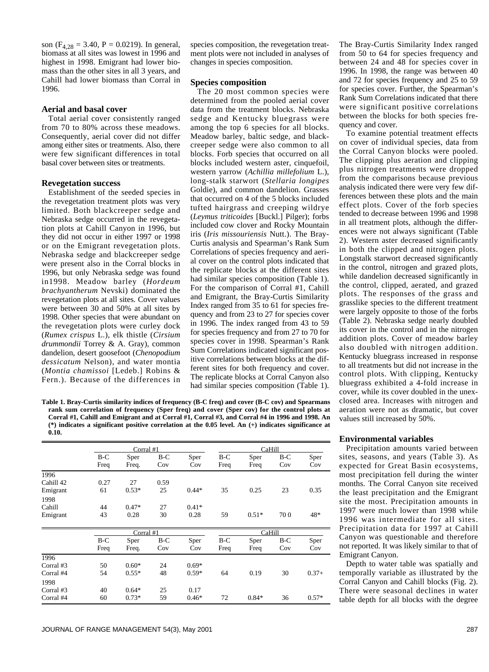son ( $F_{4,28} = 3.40$ ,  $P = 0.0219$ ). In general, biomass at all sites was lowest in 1996 and highest in 1998. Emigrant had lower biomass than the other sites in all 3 years, and Cahill had lower biomass than Corral in 1996.

#### **Aerial and basal cover**

Total aerial cover consistently ranged from 70 to 80% across these meadows. Consequently, aerial cover did not differ among either sites or treatments. Also, there were few significant differences in total basal cover between sites or treatments.

# **Revegetation success**

Establishment of the seeded species in the revegetation treatment plots was very limited. Both blackcreeper sedge and Nebraska sedge occurred in the revegetation plots at Cahill Canyon in 1996, but they did not occur in either 1997 or 1998 or on the Emigrant revegetation plots. Nebraska sedge and blackcreeper sedge were present also in the Corral blocks in 1996, but only Nebraska sedge was found in1998. Meadow barley (*Hordeum brachyantherum* Nevski) dominated the revegetation plots at all sites. Cover values were between 30 and 50% at all sites by 1998. Other species that were abundant on the revegetation plots were curley dock (*Rumex crispus* L.), elk thistle (*Cirsium drummondii* Torrey & A. Gray), common dandelion, desert goosefoot (*Chenopodium dessicatum* Nelson), and water montia (*Montia chamissoi* [Ledeb.] Robins & Fern.). Because of the differences in

species composition, the revegetation treatment plots were not included in analyses of changes in species composition.

# **Species composition**

The 20 most common species were determined from the pooled aerial cover data from the treatment blocks. Nebraska sedge and Kentucky bluegrass were among the top 6 species for all blocks. Meadow barley, baltic sedge, and blackcreeper sedge were also common to all blocks. Forb species that occurred on all blocks included western aster, cinquefoil, western yarrow (*Achillia millefolium* L.), long-stalk starwort (*Stellaria longipes* Goldie), and common dandelion. Grasses that occurred on 4 of the 5 blocks included tufted hairgrass and creeping wildrye (*Leymus triticoides* [Buckl.] Pilger); forbs included cow clover and Rocky Mountain iris (*Iris missouriensis* Nutt.). The Bray-Curtis analysis and Spearman's Rank Sum Correlations of species frequency and aerial cover on the control plots indicated that the replicate blocks at the different sites had similar species composition (Table 1). For the comparison of Corral #1, Cahill and Emigrant, the Bray-Curtis Similarity Index ranged from 35 to 61 for species frequency and from 23 to 27 for species cover in 1996. The index ranged from 43 to 59 for species frequency and from 27 to 70 for species cover in 1998. Spearman's Rank Sum Correlations indicated significant positive correlations between blocks at the different sites for both frequency and cover. The replicate blocks at Corral Canyon also had similar species composition (Table 1).

**Table 1. Bray-Curtis similarity indices of frequency (B-C freq) and cover (B-C cov) and Spearmans rank sum correlation of frequency (Sper freq) and cover (Sper cov) for the control plots at Corral #1, Cahill and Emigrant and at Corral #1, Corral #3, and Corral #4 in 1996 and 1998. An (\*) indicates a significant positive correlation at the 0.05 level. An (+) indicates significance at 0.10.** 

|           |               | Corral #1     |              |             | CaHill        |              |              |             |
|-----------|---------------|---------------|--------------|-------------|---------------|--------------|--------------|-------------|
|           | $B-C$<br>Freq | Sper<br>Freq. | $B-C$<br>Cov | Sper<br>Cov | $B-C$<br>Freq | Sper<br>Freq | $B-C$<br>Cov | Sper<br>Cov |
| 1996      |               |               |              |             |               |              |              |             |
| Cahill 42 | 0.27          | 27            | 0.59         |             |               |              |              |             |
| Emigrant  | 61            | $0.53*$       | 25           | $0.44*$     | 35            | 0.25         | 23           | 0.35        |
| 1998      |               |               |              |             |               |              |              |             |
| Cahill    | 44            | $0.47*$       | 27           | $0.41*$     |               |              |              |             |
| Emigrant  | 43            | 0.28          | 30           | 0.28        | 59            | $0.51*$      | 700          | 48*         |
|           |               | Corral #1     |              |             |               | CaHill       |              |             |
|           | $B-C$         | Sper          | $B-C$        | Sper        | $B-C$         | Sper         | $B-C$        | Sper        |
|           | Freq          | Freq.         | Cov          | Cov         | Freq          | Freq         | Cov          | Cov         |
| 1996      |               |               |              |             |               |              |              |             |
| Corral #3 | 50            | $0.60*$       | 24           | $0.69*$     |               |              |              |             |
| Corral #4 | 54            | $0.55*$       | 48           | $0.59*$     | 64            | 0.19         | 30           | $0.37+$     |
| 1998      |               |               |              |             |               |              |              |             |
| Corral #3 | 40            | $0.64*$       | 25           | 0.17        |               |              |              |             |
| Corral #4 | 60            | $0.73*$       | 59           | $0.46*$     | 72            | $0.84*$      | 36           | $0.57*$     |

The Bray-Curtis Similarity Index ranged from 50 to 64 for species frequency and between 24 and 48 for species cover in 1996. In 1998, the range was between 40 and 72 for species frequency and 25 to 59 for species cover. Further, the Spearman's Rank Sum Correlations indicated that there were significant positive correlations between the blocks for both species frequency and cover.

To examine potential treatment effects on cover of individual species, data from the Corral Canyon blocks were pooled. The clipping plus aeration and clipping plus nitrogen treatments were dropped from the comparisons because previous analysis indicated there were very few differences between these plots and the main effect plots. Cover of the forb species tended to decrease between 1996 and 1998 in all treatment plots, although the differences were not always significant (Table 2). Western aster decreased significantly in both the clipped and nitrogen plots. Longstalk starwort decreased significantly in the control, nitrogen and grazed plots, while dandelion decreased significantly in the control, clipped, aerated, and grazed plots. The responses of the grass and grasslike species to the different treatment were largely opposite to those of the forbs (Table 2). Nebraska sedge nearly doubled its cover in the control and in the nitrogen addition plots. Cover of meadow barley also doubled with nitrogen addition. Kentucky bluegrass increased in response to all treatments but did not increase in the control plots. With clipping, Kentucky bluegrass exhibited a 4-fold increase in cover, while its cover doubled in the unexclosed area. Increases with nitrogen and aeration were not as dramatic, but cover values still increased by 50%.

#### **Environmental variables**

Precipitation amounts varied between sites, seasons, and years (Table 3). As expected for Great Basin ecosystems, most precipitation fell during the winter months. The Corral Canyon site received the least precipitation and the Emigrant site the most. Precipitation amounts in 1997 were much lower than 1998 while 1996 was intermediate for all sites. Precipitation data for 1997 at Cahill Canyon was questionable and therefore not reported. It was likely similar to that of Emigrant Canyon.

Depth to water table was spatially and temporally variable as illustrated by the Corral Canyon and Cahill blocks (Fig. 2). There were seasonal declines in water table depth for all blocks with the degree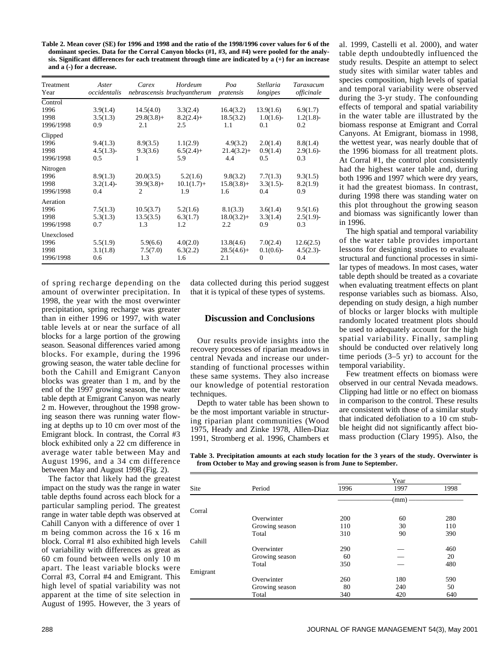**Table 2. Mean cover (SE) for 1996 and 1998 and the ratio of the 1998/1996 cover values for 6 of the dominant species. Data for the Corral Canyon blocks (#1, #3, and #4) were pooled for the analysis. Significant differences for each treatment through time are indicated by a (+) for an increase and a (-) for a decrease.**

| Treatment<br>Year                       | Aster<br>occidentalis       | Carex                                        | Hordeum<br>nebrascensis brachyantherum | Poa<br>pratensis                  | Stellaria<br>longipes                    | Taraxacum<br>officinale          |
|-----------------------------------------|-----------------------------|----------------------------------------------|----------------------------------------|-----------------------------------|------------------------------------------|----------------------------------|
| Control<br>1996<br>1998<br>1996/1998    | 3.9(1.4)<br>3.5(1.3)<br>0.9 | 14.5(4.0)<br>$29.8(3.8) +$<br>2.1            | 3.3(2.4)<br>$8.2(2.4) +$<br>2.5        | 16.4(3.2)<br>18.5(3.2)<br>1.1     | 13.9(1.6)<br>$1.0(1.6)$ -<br>0.1         | 6.9(1.7)<br>$1.2(1.8)$ -<br>0.2  |
| Clipped<br>1996<br>1998<br>1996/1998    | 9.4(1.3)<br>4.5(1.3)<br>0.5 | 8.9(3.5)<br>9.3(3.6)<br>1                    | 1.1(2.9)<br>$6.5(2.4) +$<br>5.9        | 4.9(3.2)<br>$21.4(3.2) +$<br>4.4  | 2.0(1.4)<br>0.9(1.4)<br>0.5              | 8.8(1.4)<br>2.9(1.6)<br>0.3      |
| Nitrogen<br>1996<br>1998<br>1996/1998   | 8.9(1.3)<br>3.2(1.4)<br>0.4 | 20.0(3.5)<br>$39.9(3.8) +$<br>$\overline{2}$ | 5.2(1.6)<br>$10.1(1.7) +$<br>1.9       | 9.8(3.2)<br>$15.8(3.8) +$<br>1.6  | 7.7(1.3)<br>$3.3(1.5)$ -<br>0.4          | 9.3(1.5)<br>8.2(1.9)<br>0.9      |
| Aeration<br>1996<br>1998<br>1996/1998   | 7.5(1.3)<br>5.3(1.3)<br>0.7 | 10.5(3.7)<br>13.5(3.5)<br>1.3                | 5.2(1.6)<br>6.3(1.7)<br>1.2            | 8.1(3.3)<br>$18.0(3.2) +$<br>2.2  | 3.6(1.4)<br>3.3(1.4)<br>0.9              | 9.5(1.6)<br>$2.5(1.9)$ -<br>0.3  |
| Unexclosed<br>1996<br>1998<br>1996/1998 | 5.5(1.9)<br>3.1(1.8)<br>0.6 | 5.9(6.6)<br>7.5(7.0)<br>1.3                  | 4.0(2.0)<br>6.3(2.2)<br>1.6            | 13.8(4.6)<br>$28.5(4.6) +$<br>2.1 | 7.0(2.4)<br>$0.1(0.6)$ -<br>$\mathbf{0}$ | 12.6(2.5)<br>$4.5(2.3)$ -<br>0.4 |

of spring recharge depending on the amount of overwinter precipitation. In 1998, the year with the most overwinter precipitation, spring recharge was greater than in either 1996 or 1997, with water table levels at or near the surface of all blocks for a large portion of the growing season. Seasonal differences varied among blocks. For example, during the 1996 growing season, the water table decline for both the Cahill and Emigrant Canyon blocks was greater than 1 m, and by the end of the 1997 growing season, the water table depth at Emigrant Canyon was nearly 2 m. However, throughout the 1998 growing season there was running water flowing at depths up to 10 cm over most of the Emigrant block. In contrast, the Corral #3 block exhibited only a 22 cm difference in average water table between May and August 1996, and a 34 cm difference between May and August 1998 (Fig. 2).

The factor that likely had the greatest impact on the study was the range in water table depths found across each block for a particular sampling period. The greatest range in water table depth was observed at Cahill Canyon with a difference of over 1 m being common across the 16 x 16 m block. Corral #1 also exhibited high levels of variability with differences as great as 60 cm found between wells only 10 m apart. The least variable blocks were Corral #3, Corral #4 and Emigrant. This high level of spatial variability was not apparent at the time of site selection in August of 1995. However, the 3 years of

data collected during this period suggest that it is typical of these types of systems.

# **Discussion and Conclusions**

Our results provide insights into the recovery processes of riparian meadows in central Nevada and increase our understanding of functional processes within these same systems. They also increase our knowledge of potential restoration techniques.

Depth to water table has been shown to be the most important variable in structuring riparian plant communities (Wood 1975, Heady and Zinke 1978, Allen-Diaz 1991, Stromberg et al. 1996, Chambers et al. 1999, Castelli et al. 2000), and water table depth undoubtedly influenced the study results. Despite an attempt to select study sites with similar water tables and species composition, high levels of spatial and temporal variability were observed during the 3-yr study. The confounding effects of temporal and spatial variability in the water table are illustrated by the biomass response at Emigrant and Corral Canyons. At Emigrant, biomass in 1998, the wettest year, was nearly double that of the 1996 biomass for all treatment plots. At Corral #1, the control plot consistently had the highest water table and, during both 1996 and 1997 which were dry years, it had the greatest biomass. In contrast, during 1998 there was standing water on this plot throughout the growing season and biomass was significantly lower than in 1996.

The high spatial and temporal variability of the water table provides important lessons for designing studies to evaluate structural and functional processes in similar types of meadows. In most cases, water table depth should be treated as a covariate when evaluating treatment effects on plant response variables such as biomass. Also, depending on study design, a high number of blocks or larger blocks with multiple randomly located treatment plots should be used to adequately account for the high spatial variability. Finally, sampling should be conducted over relatively long time periods (3–5 yr) to account for the temporal variability.

Few treatment effects on biomass were observed in our central Nevada meadows. Clipping had little or no effect on biomass in comparison to the control. These results are consistent with those of a similar study that indicated defoliation to a 10 cm stubble height did not significantly affect biomass production (Clary 1995). Also, the

**Table 3. Precipitation amounts at each study location for the 3 years of the study. Overwinter is from October to May and growing season is from June to September.**

| Site     | Period         | 1996 | 1997 | 1998 |
|----------|----------------|------|------|------|
|          |                |      | (mm) |      |
| Corral   |                |      |      |      |
|          | Overwinter     | 200  | 60   | 280  |
|          | Growing season | 110  | 30   | 110  |
|          | Total          | 310  | 90   | 390  |
| Cahill   |                |      |      |      |
|          | Overwinter     | 290  |      | 460  |
|          | Growing season | 60   |      | 20   |
|          | Total          | 350  |      | 480  |
| Emigrant |                |      |      |      |
|          | Overwinter     | 260  | 180  | 590  |
|          | Growing season | 80   | 240  | 50   |
|          | Total          | 340  | 420  | 640  |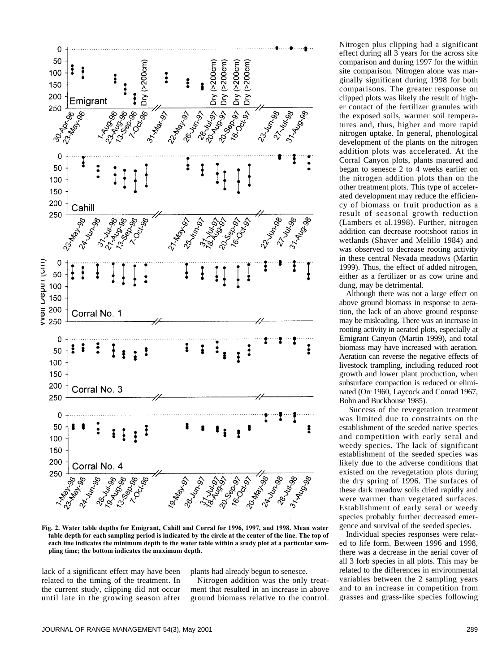

**Fig. 2. Water table depths for Emigrant, Cahill and Corral for 1996, 1997, and 1998. Mean water table depth for each sampling period is indicated by the circle at the center of the line. The top of each line indicates the minimum depth to the water table within a study plot at a particular sampling time; the bottom indicates the maximum depth.** 

lack of a significant effect may have been related to the timing of the treatment. In the current study, clipping did not occur until late in the growing season after

plants had already begun to senesce.

Nitrogen addition was the only treatment that resulted in an increase in above ground biomass relative to the control. Nitrogen plus clipping had a significant effect during all 3 years for the across site comparison and during 1997 for the within site comparison. Nitrogen alone was marginally significant during 1998 for both comparisons. The greater response on clipped plots was likely the result of higher contact of the fertilizer granules with the exposed soils, warmer soil temperatures and, thus, higher and more rapid nitrogen uptake. In general, phenological development of the plants on the nitrogen addition plots was accelerated. At the Corral Canyon plots, plants matured and began to senesce 2 to 4 weeks earlier on the nitrogen addition plots than on the other treatment plots. This type of accelerated development may reduce the efficiency of biomass or fruit production as a result of seasonal growth reduction (Lambers et al.1998). Further, nitrogen addition can decrease root:shoot ratios in wetlands (Shaver and Melillo 1984) and was observed to decrease rooting activity in these central Nevada meadows (Martin 1999). Thus, the effect of added nitrogen, either as a fertilizer or as cow urine and dung, may be detrimental.

Although there was not a large effect on above ground biomass in response to aeration, the lack of an above ground response may be misleading. There was an increase in rooting activity in aerated plots, especially at Emigrant Canyon (Martin 1999), and total biomass may have increased with aeration. Aeration can reverse the negative effects of livestock trampling, including reduced root growth and lower plant production, when subsurface compaction is reduced or eliminated (Orr 1960, Laycock and Conrad 1967, Bohn and Buckhouse 1985).

Success of the revegetation treatment was limited due to constraints on the establishment of the seeded native species and competition with early seral and weedy species. The lack of significant establishment of the seeded species was likely due to the adverse conditions that existed on the revegetation plots during the dry spring of 1996. The surfaces of these dark meadow soils dried rapidly and were warmer than vegetated surfaces. Establishment of early seral or weedy species probably further decreased emergence and survival of the seeded species.

Individual species responses were related to life form. Between 1996 and 1998, there was a decrease in the aerial cover of all 3 forb species in all plots. This may be related to the differences in environmental variables between the 2 sampling years and to an increase in competition from grasses and grass-like species following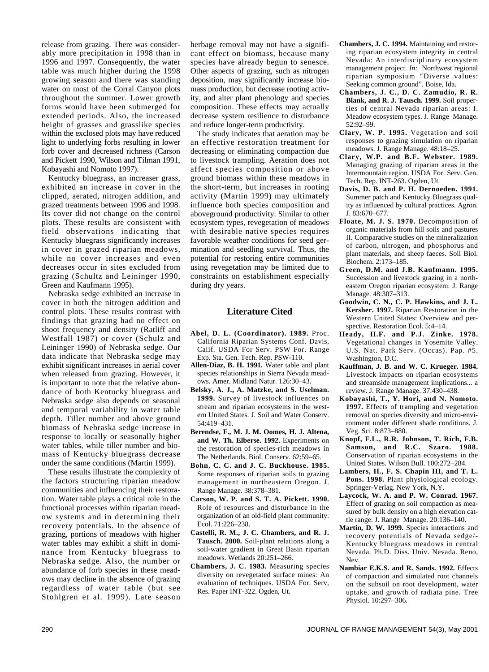release from grazing. There was considerably more precipitation in 1998 than in 1996 and 1997. Consequently, the water table was much higher during the 1998 growing season and there was standing water on most of the Corral Canyon plots throughout the summer. Lower growth forms would have been submerged for extended periods. Also, the increased height of grasses and grasslike species within the exclosed plots may have reduced light to underlying forbs resulting in lower forb cover and decreased richness (Carson and Pickett 1990, Wilson and Tilman 1991, Kobayashi and Nomoto 1997).

Kentucky bluegrass, an increaser grass, exhibited an increase in cover in the clipped, aerated, nitrogen addition, and grazed treatments between 1996 and 1998. Its cover did not change on the control plots. These results are consistent with field observations indicating that Kentucky bluegrass significantly increases in cover in grazed riparian meadows, while no cover increases and even decreases occur in sites excluded from grazing (Schultz and Leininger 1990, Green and Kaufmann 1995).

Nebraska sedge exhibited an increase in cover in both the nitrogen addition and control plots. These results contrast with findings that grazing had no effect on shoot frequency and density (Ratliff and Westfall 1987) or cover (Schulz and Leininger 1990) of Nebraska sedge. Our data indicate that Nebraska sedge may exhibit significant increases in aerial cover when released from grazing. However, it is important to note that the relative abundance of both Kentucky bluegrass and Nebraska sedge also depends on seasonal and temporal variability in water table depth. Tiller number and above ground biomass of Nebraska sedge increase in response to locally or seasonally higher water tables, while tiller number and biomass of Kentucky bluegrass decrease under the same conditions (Martin 1999).

These results illustrate the complexity of the factors structuring riparian meadow communities and influencing their restoration. Water table plays a critical role in the functional processes within riparian meadow systems and in determining their recovery potentials. In the absence of grazing, portions of meadows with higher water tables may exhibit a shift in dominance from Kentucky bluegrass to Nebraska sedge. Also, the number or abundance of forb species in these meadows may decline in the absence of grazing regardless of water table (but see Stohlgren et al. 1999). Late season

herbage removal may not have a significant effect on biomass, because many species have already begun to senesce. Other aspects of grazing, such as nitrogen deposition, may significantly increase biomass production, but decrease rooting activity, and alter plant phenology and species composition. These effects may actually decrease system resilience to disturbance and reduce longer-term productivity.

The study indicates that aeration may be an effective restoration treatment for decreasing or eliminating compaction due to livestock trampling. Aeration does not affect species composition or above ground biomass within these meadows in the short-term, but increases in rooting activity (Martin 1999) may ultimately influence both species composition and aboveground productivity. Similar to other ecosystem types, revegetation of meadows with desirable native species requires favorable weather conditions for seed germination and seedling survival. Thus, the potential for restoring entire communities using revegetation may be limited due to constraints on establishment especially during dry years.

# **Literature Cited**

- **Abel, D. L. (Coordinator). 1989.** Proc. California Riparian Systems Conf. Davis, Calif. USDA For Serv. PSW For. Range Exp. Sta. Gen. Tech. Rep. PSW-110.
- **Allen-Diaz, B. H. 1991.** Water table and plant species relationships in Sierra Nevada meadows. Amer. Midland Natur. 126:30–43.
- **Belsky, A. J., A. Matzke, and S. Uselman. 1999.** Survey of livestock influences on stream and riparian ecosystems in the western United States. J. Soil and Water Conserv. 54:419–431.
- **Berendse, F., M. J. M. Oomes, H. J. Altena, and W. Th. Elberse. 1992.** Experiments on the restoration of species-rich meadows in The Netherlands. Biol. Conserv. 62:59–65.
- **Bohn, C. C. and J. C. Buckhouse. 1985.** Some responses of riparian soils to grazing management in northeastern Oregon. J. Range Manage. 38:378–381.
- **Carson, W. P. and S. T. A. Pickett. 1990.** Role of resources and disturbance in the organization of an old-field plant community. Ecol. 71:226–238.
- **Castelli, R. M., J. C. Chambers, and R. J. Tausch. 2000.** Soil-plant relations along a soil-water gradient in Great Basin riparian meadows. Wetlands 20:251–266.
- **Chambers, J. C. 1983.** Measuring species diversity on revegetated surface mines: An evaluation of techniques. USDA For. Serv, Res. Paper INT-322. Ogden, Ut.
- **Chambers, J. C. 1994.** Maintaining and restoring riparian ecosystem integrity in central Nevada: An interdisciplinary ecosystem management project. *In:* Northwest regional riparian symposium "Diverse values: Seeking common ground". Boise, Ida.
- **Chambers, J. C., D. C. Zamudio, R. R. Blank, and R. J. Tausch. 1999.** Soil properties of central Nevada riparian areas: I. Meadow ecosystem types. J. Range Manage. 52:92–99.
- **Clary, W. P. 1995.** Vegetation and soil responses to grazing simulation on riparian meadows. J. Range Manage. 48:18–25.
- **Clary, W.P. and B.F. Webster. 1989.** Managing grazing of riparian areas in the Intermountain region. USDA For. Serv. Gen. Tech. Rep. INT-263. Ogden, Ut.
- **Davis, D. B. and P. H. Dernoeden. 1991.** Summer patch and Kentucky Bluegrass quality as influenced by cultural practices. Agron. J. 83:670–677.
- **Floate, M. J. S. 1970.** Decomposition of organic materials from hill soils and pastures II. Comparative studies on the mineralization of carbon, nitrogen, and phosphorus and plant materials, and sheep faeces. Soil Biol. Biochem. 2:173–185.
- **Green, D.M. and J.B. Kaufmann. 1995.** Succession and livestock grazing in a northeastern Oregon riparian ecosystem. J. Range Manage. 48:307-313.
- **Goodwin, C. N., C. P. Hawkins, and J. L. Kersher. 1997.** Riparian Restoration in the Western United States: Overview and perspective. Restoration Ecol. 5:4–14.
- **Heady, H.F. and P.J. Zinke. 1978.** Vegetational changes in Yosemite Valley. U.S. Nat. Park Serv. (Occas). Pap. #5. Washington, D.C.
- **Kauffman, J. B. and W. C. Krueger. 1984.** Livestock impacts on riparian ecosystems and streamside management implications... a review. J. Range Manage. 37:430–438.
- **Kobayashi, T., Y. Hori, and N. Nomoto. 1997.** Effects of trampling and vegetation removal on species diversity and micro-environment under different shade conditions. J. Veg. Sci. 8:873–880.
- **Knopf, F.L., R.R. Johnson, T. Rich, F.B. Samson, and R.C. Szaro. 1988.** Conservation of riparian ecosystems in the United States. Wilson Bull. 100:272–284.
- **Lambers, H., F. S. Chapin III, and T. L. Pons. 1998.** Plant physiological ecology. Springer-Verlag. New York, N.Y.
- **Laycock, W. A. and P. W. Conrad. 1967.** Effect of grazing on soil compaction as measured by bulk density on a high elevation cattle range. J. Range Manage. 20:136–140.
- **Martin, D. W. 1999.** Species interactions and recovery potentials of Nevada sedge/- Kentucky bluegrass meadows in central Nevada. Ph.D. Diss. Univ. Nevada. Reno, Nev.
- **Nambiar E.K.S. and R. Sands. 1992.** Effects of compaction and simulated root channels on the subsoil on root development, water uptake, and growth of radiata pine. Tree Physiol. 10:297–306.